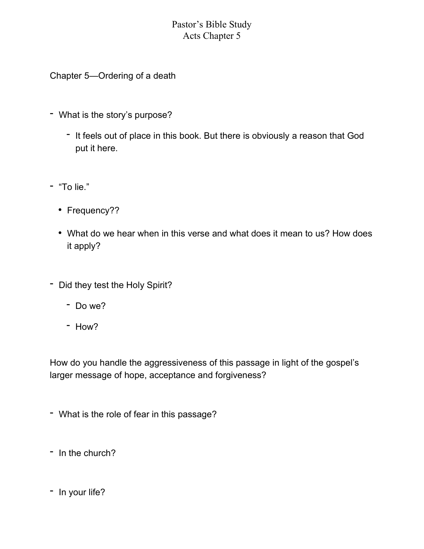## Pastor's Bible Study Acts Chapter 5

- 
- Chapter 5—Ordering of a death What is the story's purpose? It feels out of place in this book. But there is obviously a reason that God put it here.<br>- "To lie."
- - Frequency??
	- What do we hear when in this verse and what does it mean to us? How does
- it apply?<br>- Did they test the Holy Spirit?<br>- Do we?<br>- How?
	-
	-

How do you handle the aggressiveness of this passage in light of the gospel's larger message of hope, acceptance and forgiveness?<br>- What is the role of fear in this passage?<br>- In the church?<br>- In your life?

- 
- 
-